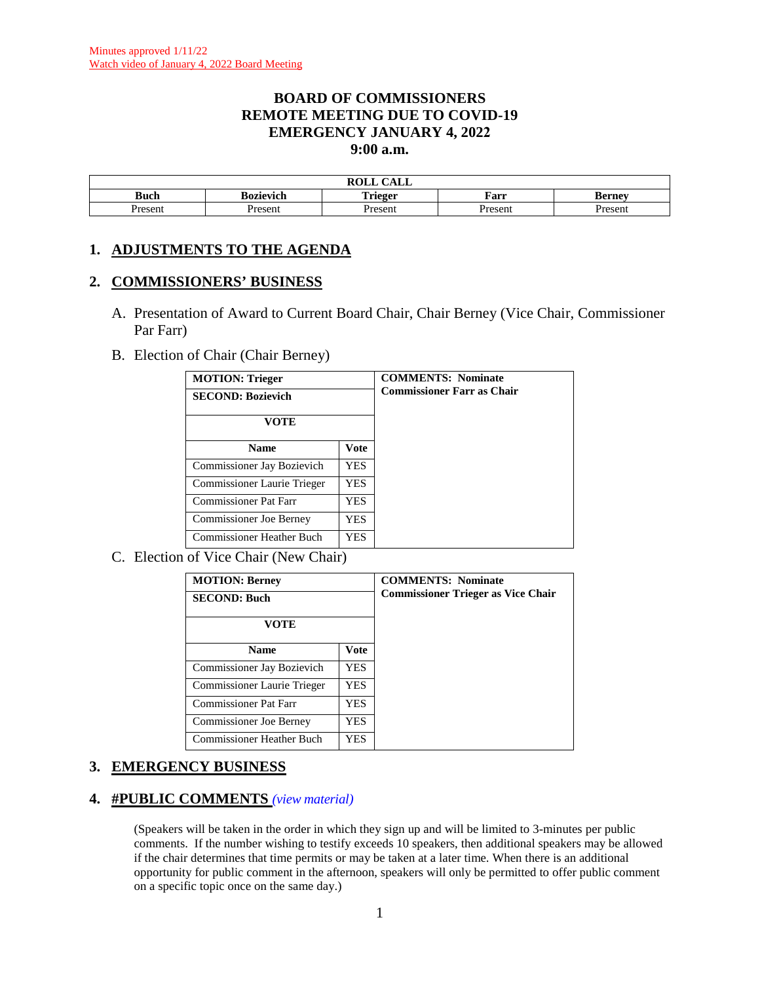#### **BOARD OF COMMISSIONERS REMOTE MEETING DUE TO COVID-19 EMERGENCY JANUARY 4, 2022 9:00 a.m.**

|           |           | $\sim$ $\sim$ $\sim$<br>DAT T<br>САЫС<br><b>NVLL</b> |        |         |
|-----------|-----------|------------------------------------------------------|--------|---------|
| –<br>Buch | sozievich | m<br>`rieger<br><b>ALIV</b>                          | Farr   | kernev  |
| resem     | Present   | resen.                                               | Presen | Present |

# **1. ADJUSTMENTS TO THE AGENDA**

#### **2. COMMISSIONERS' BUSINESS**

- A. Presentation of Award to Current Board Chair, Chair Berney (Vice Chair, Commissioner Par Farr)
- B. Election of Chair (Chair Berney)

| <b>MOTION: Trieger</b><br><b>SECOND: Bozievich</b><br>VOTE |             | <b>COMMENTS: Nominate</b><br><b>Commissioner Farr as Chair</b> |
|------------------------------------------------------------|-------------|----------------------------------------------------------------|
| <b>Name</b>                                                | <b>Vote</b> |                                                                |
| Commissioner Jay Bozievich                                 | <b>YES</b>  |                                                                |
| Commissioner Laurie Trieger                                | <b>YES</b>  |                                                                |
| <b>Commissioner Pat Farr</b>                               | YES.        |                                                                |
| <b>Commissioner Joe Berney</b>                             | YES.        |                                                                |
| <b>Commissioner Heather Buch</b>                           | YES         |                                                                |

C. Election of Vice Chair (New Chair)

| <b>MOTION: Berney</b><br><b>SECOND: Buch</b><br>VOTE |             | <b>COMMENTS: Nominate</b><br><b>Commissioner Trieger as Vice Chair</b> |
|------------------------------------------------------|-------------|------------------------------------------------------------------------|
| <b>Name</b>                                          | <b>Vote</b> |                                                                        |
| Commissioner Jay Bozievich                           | <b>YES</b>  |                                                                        |
| Commissioner Laurie Trieger                          | YES.        |                                                                        |
| <b>Commissioner Pat Farr</b>                         | YES.        |                                                                        |
| <b>Commissioner Joe Berney</b>                       | YES.        |                                                                        |
| <b>Commissioner Heather Buch</b>                     | YES.        |                                                                        |

# **3. EMERGENCY BUSINESS**

#### **4. #PUBLIC COMMENTS** *(view [material\)](http://www.lanecountyor.gov/UserFiles/Servers/Server_3585797/File/Government/BCC/2022/2022_AGENDAS/010422agenda/T.4.pdf)*

(Speakers will be taken in the order in which they sign up and will be limited to 3-minutes per public comments. If the number wishing to testify exceeds 10 speakers, then additional speakers may be allowed if the chair determines that time permits or may be taken at a later time. When there is an additional opportunity for public comment in the afternoon, speakers will only be permitted to offer public comment on a specific topic once on the same day.)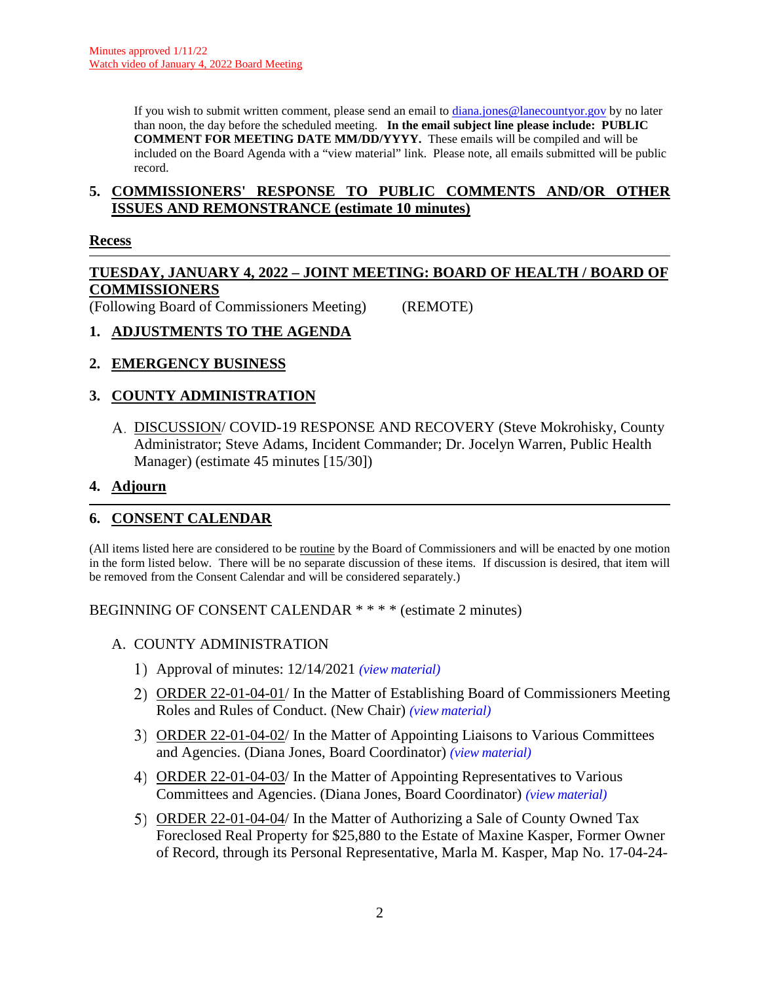If you wish to submit written comment, please send an email to [diana.jones@lanecountyor.gov](mailto:diana.jones@lanecountyor.gov) by no later than noon, the day before the scheduled meeting. **In the email subject line please include: PUBLIC COMMENT FOR MEETING DATE MM/DD/YYYY.** These emails will be compiled and will be included on the Board Agenda with a "view material" link. Please note, all emails submitted will be public record.

#### **5. COMMISSIONERS' RESPONSE TO PUBLIC COMMENTS AND/OR OTHER ISSUES AND REMONSTRANCE (estimate 10 minutes)**

#### **Recess**

#### **TUESDAY, JANUARY 4, 2022 – JOINT MEETING: BOARD OF HEALTH / BOARD OF COMMISSIONERS**

(Following Board of Commissioners Meeting) (REMOTE)

# **1. ADJUSTMENTS TO THE AGENDA**

# **2. EMERGENCY BUSINESS**

# **3. COUNTY ADMINISTRATION**

DISCUSSION/ COVID-19 RESPONSE AND RECOVERY (Steve Mokrohisky, County Administrator; Steve Adams, Incident Commander; Dr. Jocelyn Warren, Public Health Manager) (estimate 45 minutes [15/30])

#### **4. Adjourn**

# **6. CONSENT CALENDAR**

(All items listed here are considered to be routine by the Board of Commissioners and will be enacted by one motion in the form listed below. There will be no separate discussion of these items. If discussion is desired, that item will be removed from the Consent Calendar and will be considered separately.)

BEGINNING OF CONSENT CALENDAR \* \* \* \* (estimate 2 minutes)

- A. COUNTY ADMINISTRATION
	- Approval of minutes: 12/14/2021 *(view [material\)](http://www.lanecountyor.gov/UserFiles/Servers/Server_3585797/File/Government/BCC/2022/2022_AGENDAS/010422agenda/T.6.A.1.pdf)*
	- ORDER 22-01-04-01/ In the Matter of Establishing Board of Commissioners Meeting Roles and Rules of Conduct. (New Chair) *(view [material\)](http://www.lanecountyor.gov/UserFiles/Servers/Server_3585797/File/Government/BCC/2022/2022_AGENDAS/010422agenda/T.6.A.2.pdf)*
	- ORDER 22-01-04-02/ In the Matter of Appointing Liaisons to Various Committees and Agencies. (Diana Jones, Board Coordinator) *(view [material\)](http://www.lanecountyor.gov/UserFiles/Servers/Server_3585797/File/Government/BCC/2022/2022_AGENDAS/010422agenda/T.6.A.3.pdf)*
	- ORDER 22-01-04-03/ In the Matter of Appointing Representatives to Various Committees and Agencies. (Diana Jones, Board Coordinator) *(view [material\)](http://www.lanecountyor.gov/UserFiles/Servers/Server_3585797/File/Government/BCC/2022/2022_AGENDAS/010422agenda/T.6.A.4.pdf)*
	- 5) ORDER 22-01-04-04/ In the Matter of Authorizing a Sale of County Owned Tax Foreclosed Real Property for \$25,880 to the Estate of Maxine Kasper, Former Owner of Record, through its Personal Representative, Marla M. Kasper, Map No. 17-04-24-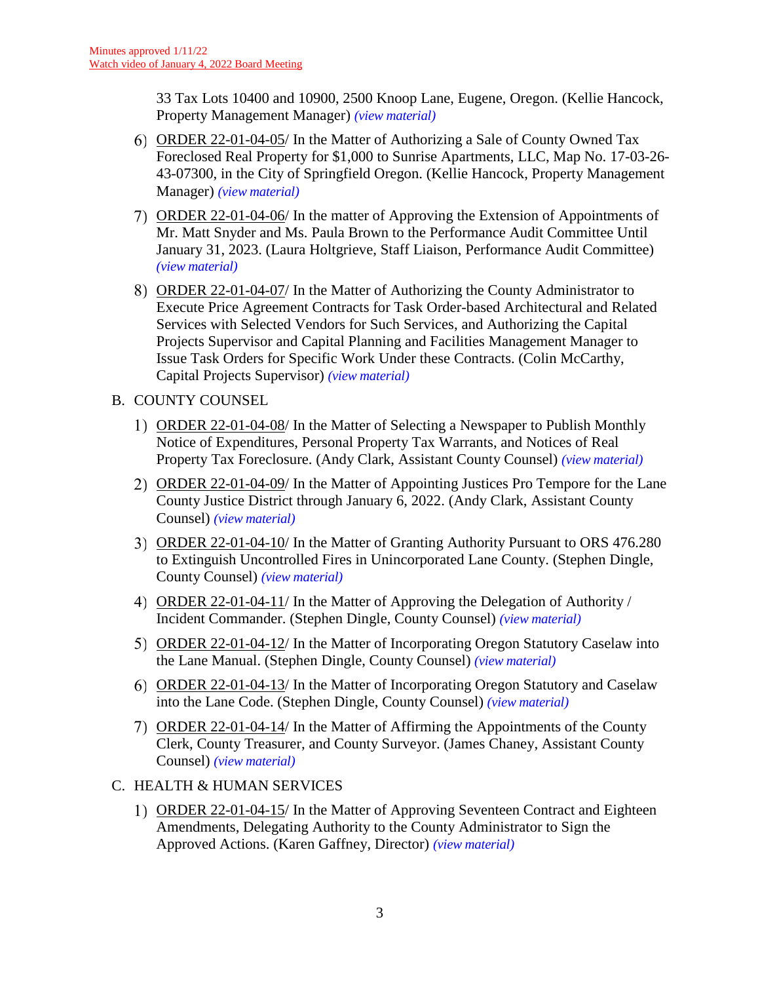33 Tax Lots 10400 and 10900, 2500 Knoop Lane, Eugene, Oregon. (Kellie Hancock, Property Management Manager) *(view [material\)](http://www.lanecountyor.gov/UserFiles/Servers/Server_3585797/File/Government/BCC/2022/2022_AGENDAS/010422agenda/T.6.A.5.pdf)*

- ORDER 22-01-04-05/ In the Matter of Authorizing a Sale of County Owned Tax Foreclosed Real Property for \$1,000 to Sunrise Apartments, LLC, Map No. 17-03-26- 43-07300, in the City of Springfield Oregon. (Kellie Hancock, Property Management Manager) *(view [material\)](http://www.lanecountyor.gov/UserFiles/Servers/Server_3585797/File/Government/BCC/2022/2022_AGENDAS/010422agenda/T.6.A.6.pdf)*
- ORDER 22-01-04-06/ In the matter of Approving the Extension of Appointments of Mr. Matt Snyder and Ms. Paula Brown to the Performance Audit Committee Until January 31, 2023. (Laura Holtgrieve, Staff Liaison, Performance Audit Committee) *(view [material\)](http://www.lanecountyor.gov/UserFiles/Servers/Server_3585797/File/Government/BCC/2022/2022_AGENDAS/010422agenda/T.6.A.7.pdf)*
- ORDER 22-01-04-07/ In the Matter of Authorizing the County Administrator to Execute Price Agreement Contracts for Task Order-based Architectural and Related Services with Selected Vendors for Such Services, and Authorizing the Capital Projects Supervisor and Capital Planning and Facilities Management Manager to Issue Task Orders for Specific Work Under these Contracts. (Colin McCarthy, Capital Projects Supervisor) *(view [material\)](http://www.lanecountyor.gov/UserFiles/Servers/Server_3585797/File/Government/BCC/2022/2022_AGENDAS/010422agenda/T.6.A.8.pdf)*
- B. COUNTY COUNSEL
	- ORDER 22-01-04-08/ In the Matter of Selecting a Newspaper to Publish Monthly Notice of Expenditures, Personal Property Tax Warrants, and Notices of Real Property Tax Foreclosure. (Andy Clark, Assistant County Counsel) *(view [material\)](http://www.lanecountyor.gov/UserFiles/Servers/Server_3585797/File/Government/BCC/2022/2022_AGENDAS/010422agenda/T.6.B.1.pdf)*
	- 2) ORDER 22-01-04-09/ In the Matter of Appointing Justices Pro Tempore for the Lane County Justice District through January 6, 2022. (Andy Clark, Assistant County Counsel) *(view [material\)](http://www.lanecountyor.gov/UserFiles/Servers/Server_3585797/File/Government/BCC/2022/2022_AGENDAS/010422agenda/T.6.B.2.pdf)*
	- ORDER 22-01-04-10/ In the Matter of Granting Authority Pursuant to ORS 476.280 to Extinguish Uncontrolled Fires in Unincorporated Lane County. (Stephen Dingle, County Counsel) *(view [material\)](http://www.lanecountyor.gov/UserFiles/Servers/Server_3585797/File/Government/BCC/2022/2022_AGENDAS/010422agenda/T.6.B.3.pdf)*
	- ORDER 22-01-04-11/ In the Matter of Approving the Delegation of Authority / Incident Commander. (Stephen Dingle, County Counsel) *(view [material\)](http://www.lanecountyor.gov/UserFiles/Servers/Server_3585797/File/Government/BCC/2022/2022_AGENDAS/010422agenda/T.6.B.4.pdf)*
	- ORDER 22-01-04-12/ In the Matter of Incorporating Oregon Statutory Caselaw into the Lane Manual. (Stephen Dingle, County Counsel) *(view [material\)](http://www.lanecountyor.gov/UserFiles/Servers/Server_3585797/File/Government/BCC/2022/2022_AGENDAS/010422agenda/T.6.B.5.pdf)*
	- ORDER 22-01-04-13/ In the Matter of Incorporating Oregon Statutory and Caselaw into the Lane Code. (Stephen Dingle, County Counsel) *(view [material\)](http://www.lanecountyor.gov/UserFiles/Servers/Server_3585797/File/Government/BCC/2022/2022_AGENDAS/010422agenda/T.6.B.6.pdf)*
	- ORDER 22-01-04-14/ In the Matter of Affirming the Appointments of the County Clerk, County Treasurer, and County Surveyor. (James Chaney, Assistant County Counsel) *(view [material\)](http://www.lanecountyor.gov/UserFiles/Servers/Server_3585797/File/Government/BCC/2022/2022_AGENDAS/010422agenda/T.6.B.7.pdf)*
- C. HEALTH & HUMAN SERVICES
	- ORDER 22-01-04-15/ In the Matter of Approving Seventeen Contract and Eighteen Amendments, Delegating Authority to the County Administrator to Sign the Approved Actions. (Karen Gaffney, Director) *(view [material\)](http://www.lanecountyor.gov/UserFiles/Servers/Server_3585797/File/Government/BCC/2022/2022_AGENDAS/010422agenda/T.6.C.1.pdf)*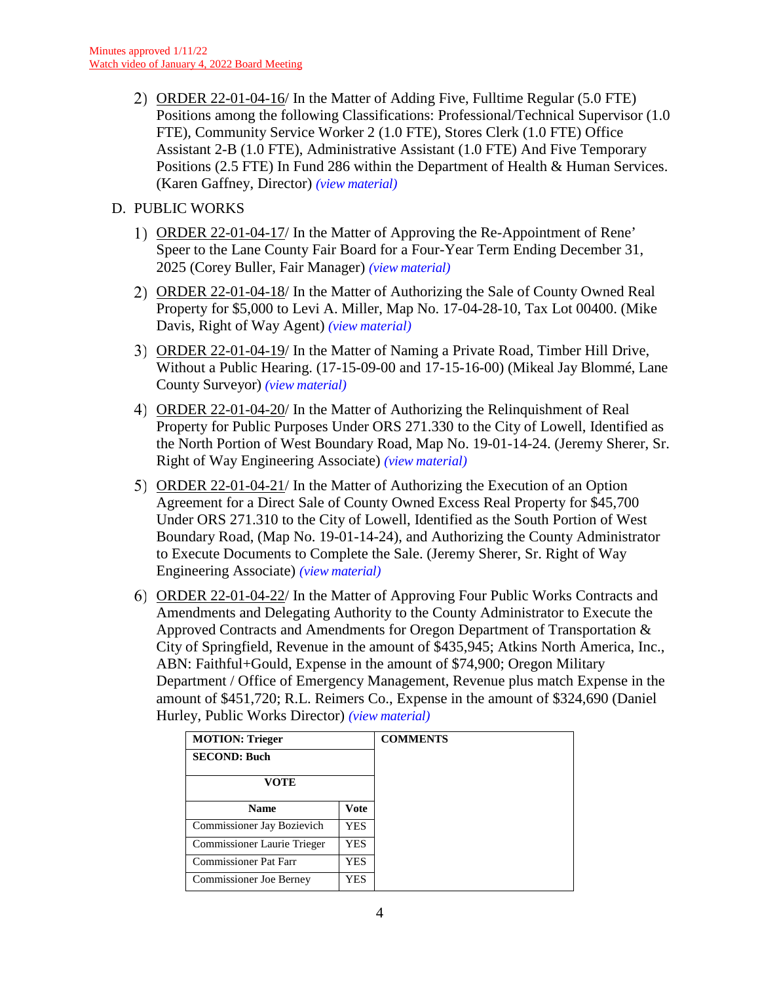ORDER 22-01-04-16/ In the Matter of Adding Five, Fulltime Regular (5.0 FTE) Positions among the following Classifications: Professional/Technical Supervisor (1.0 FTE), Community Service Worker 2 (1.0 FTE), Stores Clerk (1.0 FTE) Office Assistant 2-B (1.0 FTE), Administrative Assistant (1.0 FTE) And Five Temporary Positions (2.5 FTE) In Fund 286 within the Department of Health & Human Services. (Karen Gaffney, Director) *(view [material\)](http://www.lanecountyor.gov/UserFiles/Servers/Server_3585797/File/Government/BCC/2022/2022_AGENDAS/010422agenda/T.6.C.2.pdf)*

# D. PUBLIC WORKS

- ORDER 22-01-04-17/ In the Matter of Approving the Re-Appointment of Rene' Speer to the Lane County Fair Board for a Four-Year Term Ending December 31, 2025 (Corey Buller, Fair Manager) *(view [material\)](http://www.lanecountyor.gov/UserFiles/Servers/Server_3585797/File/Government/BCC/2022/2022_AGENDAS/010422agenda/T.6.D.1.pdf)*
- 2) ORDER 22-01-04-18/ In the Matter of Authorizing the Sale of County Owned Real Property for \$5,000 to Levi A. Miller, Map No. 17-04-28-10, Tax Lot 00400. (Mike Davis, Right of Way Agent) *(view [material\)](http://www.lanecountyor.gov/UserFiles/Servers/Server_3585797/File/Government/BCC/2022/2022_AGENDAS/010422agenda/T.6.D.2.pdf)*
- ORDER 22-01-04-19/ In the Matter of Naming a Private Road, Timber Hill Drive, Without a Public Hearing. (17-15-09-00 and 17-15-16-00) (Mikeal Jay Blommé, Lane County Surveyor) *(view [material\)](http://www.lanecountyor.gov/UserFiles/Servers/Server_3585797/File/Government/BCC/2022/2022_AGENDAS/010422agenda/T.6.D.3.pdf)*
- ORDER 22-01-04-20/ In the Matter of Authorizing the Relinquishment of Real Property for Public Purposes Under ORS 271.330 to the City of Lowell, Identified as the North Portion of West Boundary Road, Map No. 19-01-14-24. (Jeremy Sherer, Sr. Right of Way Engineering Associate) *(view [material\)](http://www.lanecountyor.gov/UserFiles/Servers/Server_3585797/File/Government/BCC/2022/2022_AGENDAS/010422agenda/T.6.D.4.pdf)*
- ORDER 22-01-04-21/ In the Matter of Authorizing the Execution of an Option Agreement for a Direct Sale of County Owned Excess Real Property for \$45,700 Under ORS 271.310 to the City of Lowell, Identified as the South Portion of West Boundary Road, (Map No. 19-01-14-24), and Authorizing the County Administrator to Execute Documents to Complete the Sale. (Jeremy Sherer, Sr. Right of Way Engineering Associate) *(view [material\)](http://www.lanecountyor.gov/UserFiles/Servers/Server_3585797/File/Government/BCC/2022/2022_AGENDAS/010422agenda/T.6.D.5.pdf)*
- ORDER 22-01-04-22/ In the Matter of Approving Four Public Works Contracts and Amendments and Delegating Authority to the County Administrator to Execute the Approved Contracts and Amendments for Oregon Department of Transportation & City of Springfield, Revenue in the amount of \$435,945; Atkins North America, Inc., ABN: Faithful+Gould, Expense in the amount of \$74,900; Oregon Military Department / Office of Emergency Management, Revenue plus match Expense in the amount of \$451,720; R.L. Reimers Co., Expense in the amount of \$324,690 (Daniel Hurley, Public Works Director) *(view [material\)](http://www.lanecountyor.gov/UserFiles/Servers/Server_3585797/File/Government/BCC/2022/2022_AGENDAS/010422agenda/T.6.D.6.pdf)*

| <b>MOTION: Trieger</b>      |             |
|-----------------------------|-------------|
| <b>SECOND: Buch</b>         |             |
| VOTE                        |             |
| <b>Name</b>                 | <b>Vote</b> |
| Commissioner Jay Bozievich  | YES.        |
| Commissioner Laurie Trieger | YES         |
| Commissioner Pat Farr       | YES         |
| Commissioner Joe Berney     | YES         |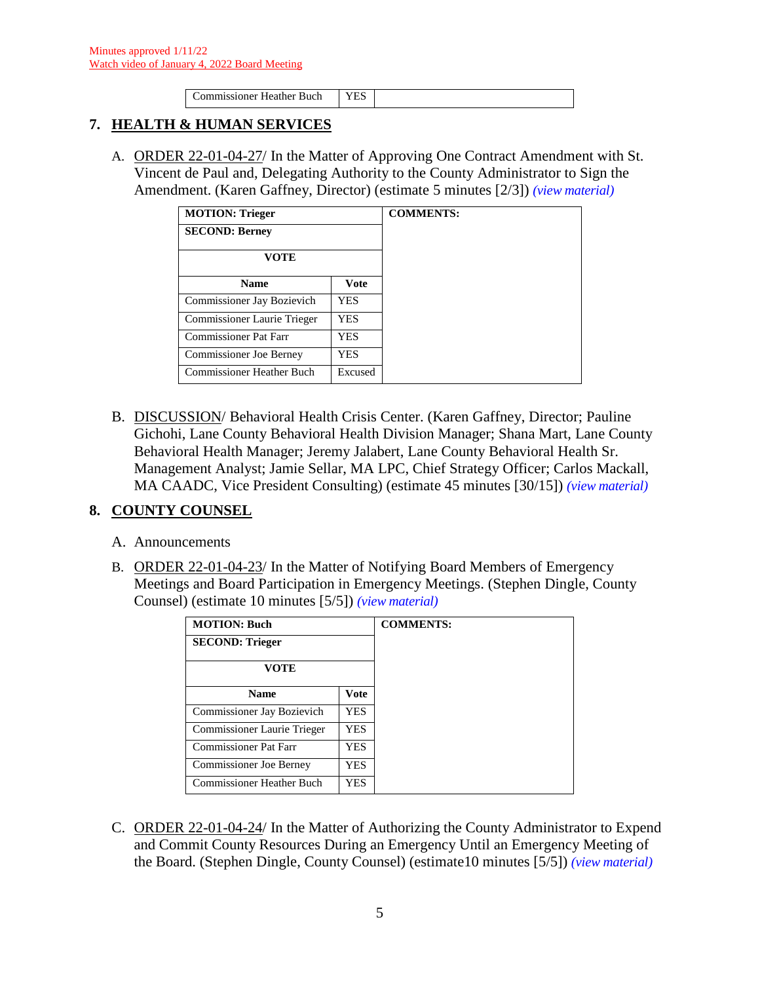|--|

#### **7. HEALTH & HUMAN SERVICES**

A. ORDER 22-01-04-27/ In the Matter of Approving One Contract Amendment with St. Vincent de Paul and, Delegating Authority to the County Administrator to Sign the Amendment. (Karen Gaffney, Director) (estimate 5 minutes [2/3]) *(view [material\)](http://www.lanecountyor.gov/UserFiles/Servers/Server_3585797/File/Government/BCC/2022/2022_AGENDAS/010422agenda/T.7.A.pdf)*

| <b>MOTION: Trieger</b>           |             |
|----------------------------------|-------------|
| <b>SECOND: Berney</b>            |             |
| VOTE                             |             |
| <b>Name</b>                      | <b>Vote</b> |
| Commissioner Jay Bozievich       | YES         |
| Commissioner Laurie Trieger      | YES         |
| <b>Commissioner Pat Farr</b>     | <b>YES</b>  |
| <b>Commissioner Joe Berney</b>   | YES         |
| <b>Commissioner Heather Buch</b> | Excused     |

B. DISCUSSION/ Behavioral Health Crisis Center. (Karen Gaffney, Director; Pauline Gichohi, Lane County Behavioral Health Division Manager; Shana Mart, Lane County Behavioral Health Manager; Jeremy Jalabert, Lane County Behavioral Health Sr. Management Analyst; Jamie Sellar, MA LPC, Chief Strategy Officer; Carlos Mackall, MA CAADC, Vice President Consulting) (estimate 45 minutes [30/15]) *(view [material\)](http://www.lanecountyor.gov/UserFiles/Servers/Server_3585797/File/Government/BCC/2022/2022_AGENDAS/010422agenda/T.7.B.pdf)*

# **8. COUNTY COUNSEL**

- A. Announcements
- B. ORDER 22-01-04-23/ In the Matter of Notifying Board Members of Emergency Meetings and Board Participation in Emergency Meetings. (Stephen Dingle, County Counsel) (estimate 10 minutes [5/5]) *(view [material\)](http://www.lanecountyor.gov/UserFiles/Servers/Server_3585797/File/Government/BCC/2022/2022_AGENDAS/010422agenda/T.8.B.pdf)*

| <b>MOTION: Buch</b>              |             |
|----------------------------------|-------------|
| <b>SECOND: Trieger</b>           |             |
| VOTE                             |             |
| <b>Name</b>                      | <b>Vote</b> |
| Commissioner Jay Bozievich       | <b>YES</b>  |
| Commissioner Laurie Trieger      | <b>YES</b>  |
| <b>Commissioner Pat Farr</b>     | <b>YES</b>  |
| <b>Commissioner Joe Berney</b>   | <b>YES</b>  |
| <b>Commissioner Heather Buch</b> | <b>YES</b>  |

C. ORDER 22-01-04-24/ In the Matter of Authorizing the County Administrator to Expend and Commit County Resources During an Emergency Until an Emergency Meeting of the Board. (Stephen Dingle, County Counsel) (estimate10 minutes [5/5]) *(view [material\)](http://www.lanecountyor.gov/UserFiles/Servers/Server_3585797/File/Government/BCC/2022/2022_AGENDAS/010422agenda/T.8.C.pdf)*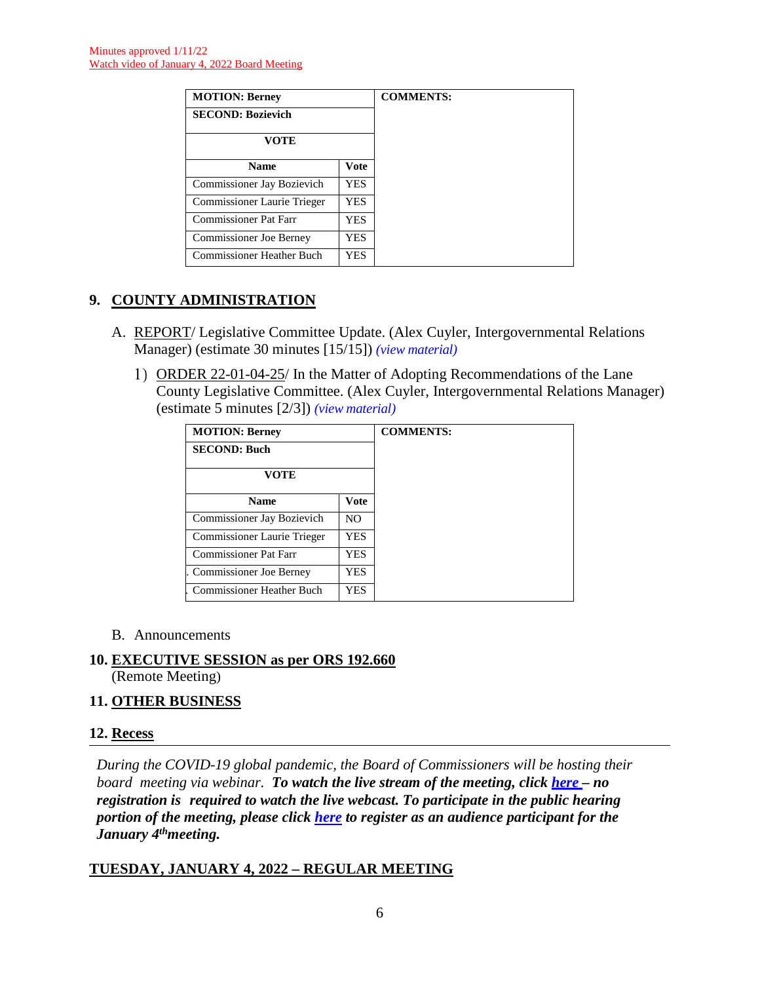| <b>MOTION: Berney</b>            |            |
|----------------------------------|------------|
| <b>SECOND: Bozievich</b>         |            |
| VOTE                             |            |
| <b>Name</b>                      | Vote       |
| Commissioner Jay Bozievich       | <b>YES</b> |
| Commissioner Laurie Trieger      | YES.       |
| <b>Commissioner Pat Farr</b>     | <b>YES</b> |
| Commissioner Joe Berney          | <b>YES</b> |
| <b>Commissioner Heather Buch</b> | YES        |

# **9. COUNTY ADMINISTRATION**

- A. REPORT/ Legislative Committee Update. (Alex Cuyler, Intergovernmental Relations Manager) (estimate 30 minutes [15/15]) *(view [material\)](http://www.lanecountyor.gov/UserFiles/Servers/Server_3585797/File/Government/BCC/2022/2022_AGENDAS/010422agenda/T.9.A.pdf)*
	- ORDER 22-01-04-25/ In the Matter of Adopting Recommendations of the Lane County Legislative Committee. (Alex Cuyler, Intergovernmental Relations Manager) (estimate 5 minutes [2/3]) *(view [material\)](http://www.lanecountyor.gov/UserFiles/Servers/Server_3585797/File/Government/BCC/2022/2022_AGENDAS/010422agenda/T.9.A.1.pdf)*

| <b>MOTION: Berney</b>            |                | <b>COMMENTS:</b> |
|----------------------------------|----------------|------------------|
| <b>SECOND: Buch</b>              |                |                  |
| <b>VOTE</b>                      |                |                  |
| <b>Name</b>                      | <b>Vote</b>    |                  |
| Commissioner Jay Bozievich       | N <sub>O</sub> |                  |
| Commissioner Laurie Trieger      | YES.           |                  |
| <b>Commissioner Pat Farr</b>     | YES            |                  |
| <b>Commissioner Joe Berney</b>   | YES            |                  |
| <b>Commissioner Heather Buch</b> | YES.           |                  |

B. Announcements

#### **10. EXECUTIVE SESSION as per ORS 192.660**  (Remote Meeting)

# **11. OTHER BUSINESS**

# **12. Recess**

*During the COVID-19 global pandemic, the Board of Commissioners will be hosting their board meeting via webinar. To watch the live stream of the meeting, click [here](https://lanecounty.org/cms/One.aspx?portalId=3585881&pageId=7842434) – no registration is required to watch the live webcast. To participate in the public hearing portion of the meeting, please click [here](https://us06web.zoom.us/webinar/register/WN_PoYSElOyTt-Jb5a7bKSRTw) to register as an audience participant for the January 4thmeeting.*

# **TUESDAY, JANUARY 4, 2022 – REGULAR MEETING**